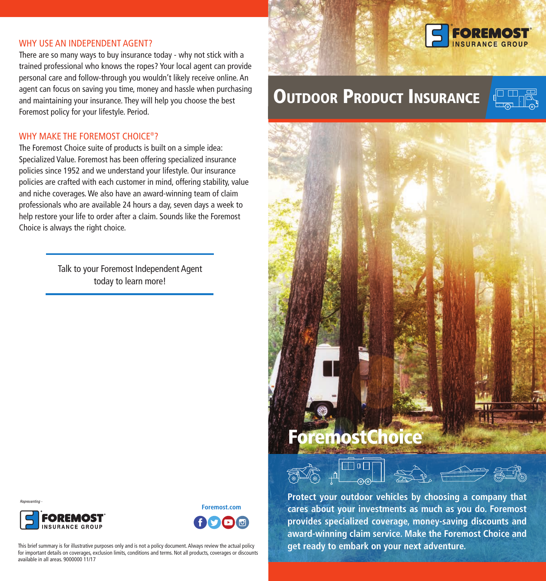#### WHY USE AN INDEPENDENT AGENT?

There are so many ways to buy insurance today - why not stick with a trained professional who knows the ropes? Your local agent can provide personal care and follow-through you wouldn't likely receive online. An agent can focus on saving you time, money and hassle when purchasing and maintaining your insurance. They will help you choose the best Foremost policy for your lifestyle. Period.

## WHY MAKE THE FOREMOST CHOICE®?

The Foremost Choice suite of products is built on a simple idea: Specialized Value. Foremost has been offering specialized insurance policies since 1952 and we understand your lifestyle. Our insurance policies are crafted with each customer in mind, offering stability, value and niche coverages. We also have an award-winning team of claim professionals who are available 24 hours a day, seven days a week to help restore your life to order after a claim. Sounds like the Foremost Choice is always the right choice.

> Talk to your Foremost Independent Agent today to learn more!





**Foremost.com** 

This brief summary is for illustrative purposes only and is not a policy document. Always review the actual policy for important details on coverages, exclusion limits, conditions and terms. Not all products, coverages or discounts available in all areas. 9000000 11/17



# **OUTDOOR PRODUCT INSURANCE**



# **ForemostChoice**



**Protect your outdoor vehicles by choosing a company that** cares about your investments as much as you do. Foremost provides specialized coverage, money-saving discounts and award-winning claim service. Make the Foremost Choice and **get ready to embark on your next adventure.**